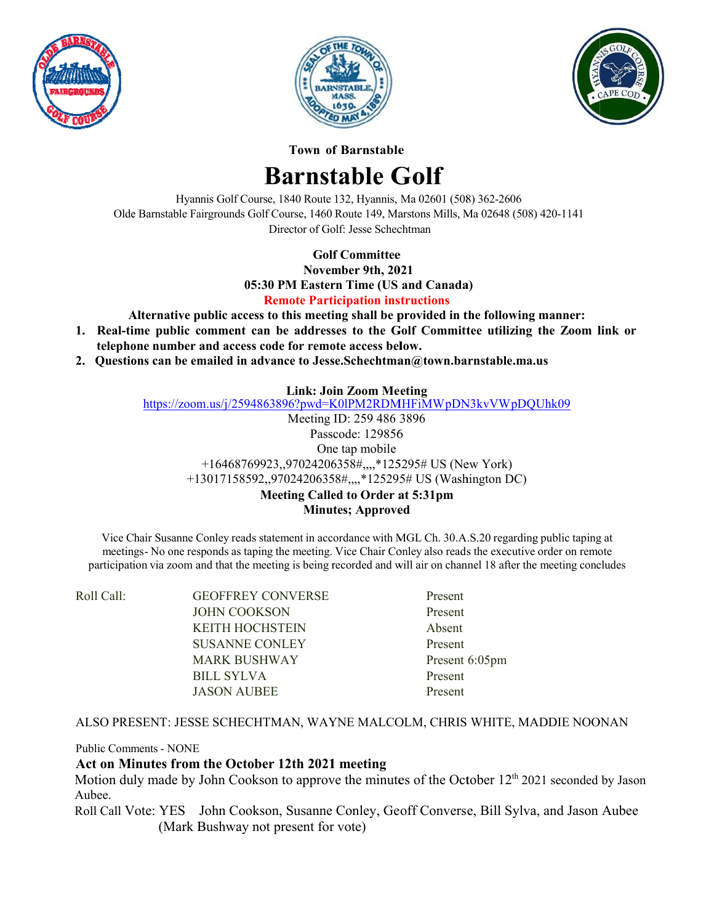





**Town of Barnstable** 

# **Barnstable Golf**

Hyannis Golf Course, 1840 Route 132, Hyannis, Ma 02601 (508) 362-2606 Olde Barnstable Fairgrounds Golf Course, 1460 Route 149, Marstons Mills, Ma 02648 (508) 420-1141 Director of Golf: Jesse Schechtman

## **Golf Committee**

November 9th, 2021 05:30 PM Eastern Time (US and Canada) **Remote Participation instructions** 

Alternative public access to this meeting shall be provided in the following manner:

- 1. Real-time public comment can be addresses to the Golf Committee utilizing the Zoom link or telephone number and access code for remote access below.
- 2. Questions can be emailed in advance to Jesse. Schechtman  $@town.barnstable.ma.us$

## **Link: Join Zoom Meeting**

https://zoom.us/j/2594863896?pwd=K0lPM2RDMHFiMWpDN3kvVWpDQUhk09

Meeting ID: 259 486 3896 Passcode: 129856 One tap mobile +16468769923,,97024206358#,,,,\*125295# US (New York) +13017158592,,97024206358#,,,,\*125295# US (Washington DC) Meeting Called to Order at 5:31pm

**Minutes**; Approved

Vice Chair Susanne Conley reads statement in accordance with MGL Ch. 30.A.S.20 regarding public taping at meetings-No one responds as taping the meeting. Vice Chair Conley also reads the executive order on remote participation via zoom and that the meeting is being recorded and will air on channel 18 after the meeting concludes

| Roll Call: | <b>GEOFFREY CONVERSE</b> | Present        |
|------------|--------------------------|----------------|
|            | <b>JOHN COOKSON</b>      | Present        |
|            | <b>KEITH HOCHSTEIN</b>   | Absent         |
|            | <b>SUSANNE CONLEY</b>    | Present        |
|            | <b>MARK BUSHWAY</b>      | Present 6:05pm |
|            | BILL SYLVA               | Present        |
|            | <b>JASON AUBEE</b>       | Present        |

#### ALSO PRESENT: JESSE SCHECHTMAN, WAYNE MALCOLM, CHRIS WHITE, MADDIE NOONAN

**Public Comments - NONE** 

#### Act on Minutes from the October 12th 2021 meeting

Motion duly made by John Cookson to approve the minutes of the October 12<sup>th</sup> 2021 seconded by Jason Aubee.

Roll Call Vote: YES John Cookson, Susanne Conley, Geoff Converse, Bill Sylva, and Jason Aubee (Mark Bushway not present for vote)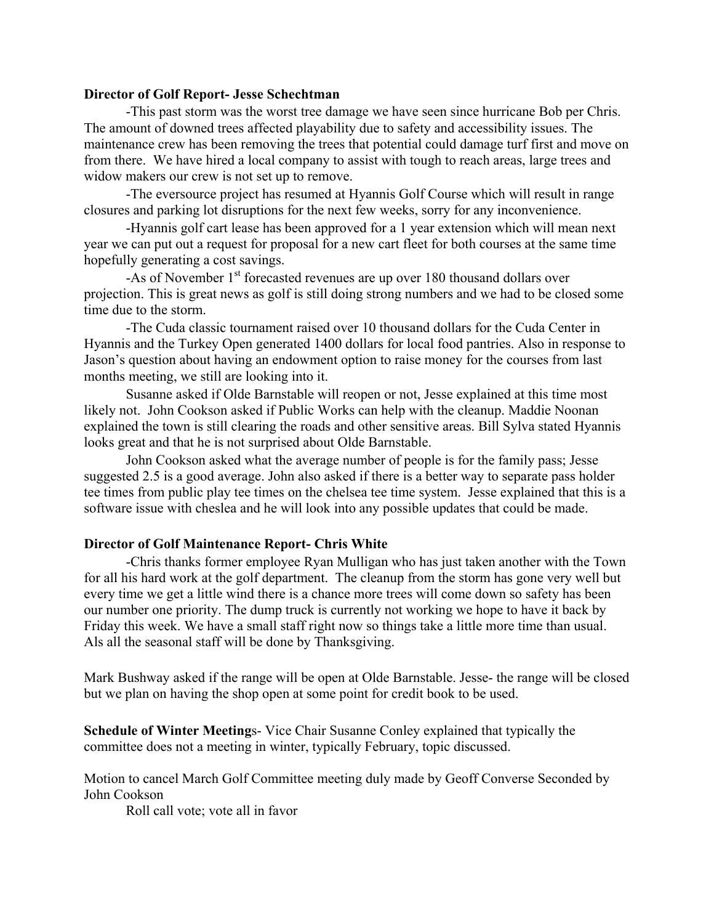#### **Director of Golf Report- Jesse Schechtman**

 -This past storm was the worst tree damage we have seen since hurricane Bob per Chris. The amount of downed trees affected playability due to safety and accessibility issues. The maintenance crew has been removing the trees that potential could damage turf first and move on from there. We have hired a local company to assist with tough to reach areas, large trees and widow makers our crew is not set up to remove.

 -The eversource project has resumed at Hyannis Golf Course which will result in range closures and parking lot disruptions for the next few weeks, sorry for any inconvenience.

 -Hyannis golf cart lease has been approved for a 1 year extension which will mean next year we can put out a request for proposal for a new cart fleet for both courses at the same time hopefully generating a cost savings.

-As of November 1<sup>st</sup> forecasted revenues are up over 180 thousand dollars over projection. This is great news as golf is still doing strong numbers and we had to be closed some time due to the storm.

 -The Cuda classic tournament raised over 10 thousand dollars for the Cuda Center in Hyannis and the Turkey Open generated 1400 dollars for local food pantries. Also in response to Jason's question about having an endowment option to raise money for the courses from last months meeting, we still are looking into it.

 Susanne asked if Olde Barnstable will reopen or not, Jesse explained at this time most likely not. John Cookson asked if Public Works can help with the cleanup. Maddie Noonan explained the town is still clearing the roads and other sensitive areas. Bill Sylva stated Hyannis looks great and that he is not surprised about Olde Barnstable.

 John Cookson asked what the average number of people is for the family pass; Jesse suggested 2.5 is a good average. John also asked if there is a better way to separate pass holder tee times from public play tee times on the chelsea tee time system. Jesse explained that this is a software issue with cheslea and he will look into any possible updates that could be made.

#### **Director of Golf Maintenance Report- Chris White**

 -Chris thanks former employee Ryan Mulligan who has just taken another with the Town for all his hard work at the golf department. The cleanup from the storm has gone very well but every time we get a little wind there is a chance more trees will come down so safety has been our number one priority. The dump truck is currently not working we hope to have it back by Friday this week. We have a small staff right now so things take a little more time than usual. Als all the seasonal staff will be done by Thanksgiving.

Mark Bushway asked if the range will be open at Olde Barnstable. Jesse- the range will be closed but we plan on having the shop open at some point for credit book to be used.

**Schedule of Winter Meeting**s- Vice Chair Susanne Conley explained that typically the committee does not a meeting in winter, typically February, topic discussed.

Motion to cancel March Golf Committee meeting duly made by Geoff Converse Seconded by John Cookson

Roll call vote; vote all in favor